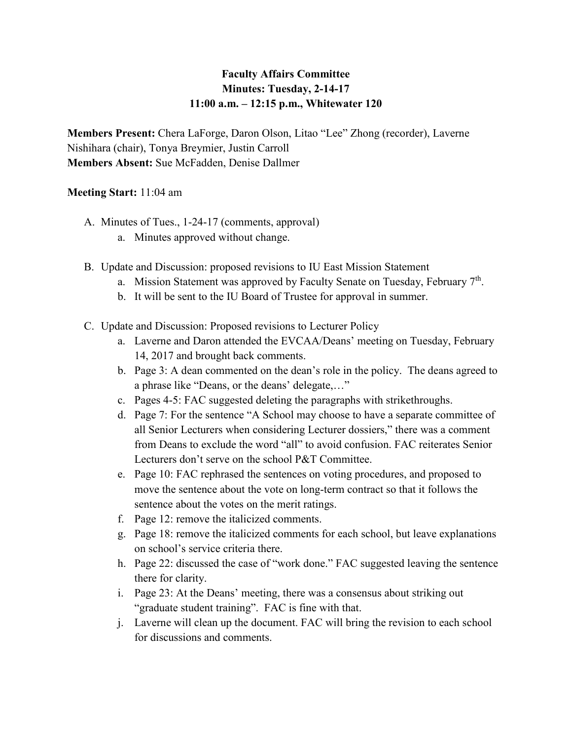## **Faculty Affairs Committee Minutes: Tuesday, 2-14-17 11:00 a.m. – 12:15 p.m., Whitewater 120**

**Members Present:** Chera LaForge, Daron Olson, Litao "Lee" Zhong (recorder), Laverne Nishihara (chair), Tonya Breymier, Justin Carroll **Members Absent:** Sue McFadden, Denise Dallmer

## **Meeting Start:** 11:04 am

- A. Minutes of Tues., 1-24-17 (comments, approval)
	- a. Minutes approved without change.
- B. Update and Discussion: proposed revisions to IU East Mission Statement
	- a. Mission Statement was approved by Faculty Senate on Tuesday, February 7<sup>th</sup>.
	- b. It will be sent to the IU Board of Trustee for approval in summer.
- C. Update and Discussion: Proposed revisions to Lecturer Policy
	- a. Laverne and Daron attended the EVCAA/Deans' meeting on Tuesday, February 14, 2017 and brought back comments.
	- b. Page 3: A dean commented on the dean's role in the policy. The deans agreed to a phrase like "Deans, or the deans' delegate,…"
	- c. Pages 4-5: FAC suggested deleting the paragraphs with strikethroughs.
	- d. Page 7: For the sentence "A School may choose to have a separate committee of all Senior Lecturers when considering Lecturer dossiers," there was a comment from Deans to exclude the word "all" to avoid confusion. FAC reiterates Senior Lecturers don't serve on the school P&T Committee.
	- e. Page 10: FAC rephrased the sentences on voting procedures, and proposed to move the sentence about the vote on long-term contract so that it follows the sentence about the votes on the merit ratings.
	- f. Page 12: remove the italicized comments.
	- g. Page 18: remove the italicized comments for each school, but leave explanations on school's service criteria there.
	- h. Page 22: discussed the case of "work done." FAC suggested leaving the sentence there for clarity.
	- i. Page 23: At the Deans' meeting, there was a consensus about striking out "graduate student training". FAC is fine with that.
	- j. Laverne will clean up the document. FAC will bring the revision to each school for discussions and comments.